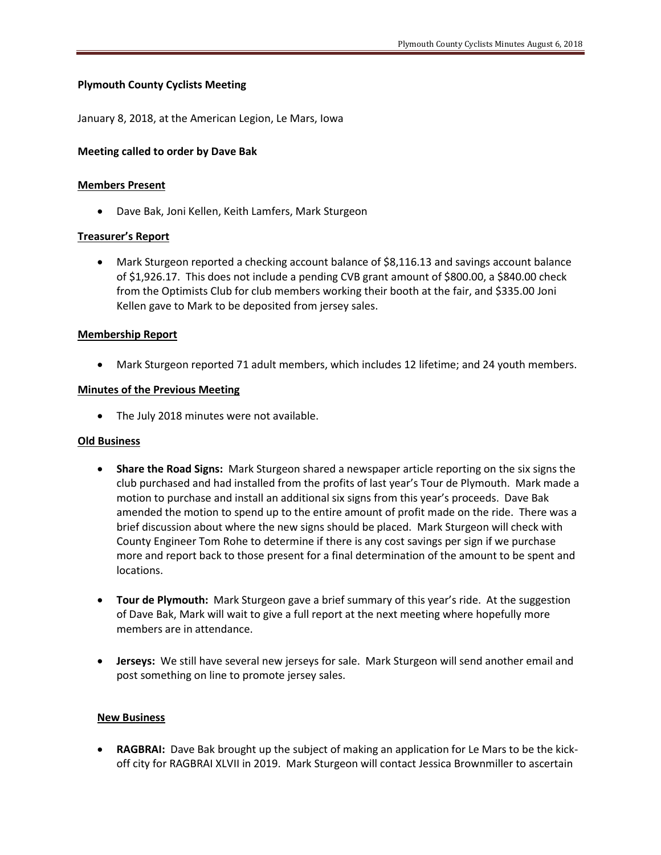# **Plymouth County Cyclists Meeting**

January 8, 2018, at the American Legion, Le Mars, Iowa

### **Meeting called to order by Dave Bak**

#### **Members Present**

• Dave Bak, Joni Kellen, Keith Lamfers, Mark Sturgeon

#### Treasurer's Report

• Mark Sturgeon reported a checking account balance of \$8,116.13 and savings account balance of \$1,926.17. This does not include a pending CVB grant amount of \$800.00, a \$840.00 check from the Optimists Club for club members working their booth at the fair, and \$335.00 Joni Kellen gave to Mark to be deposited from jersey sales.

#### **Membership Report**

• Mark Sturgeon reported 71 adult members, which includes 12 lifetime; and 24 youth members.

#### **Minutes of the Previous Meeting**

• The July 2018 minutes were not available.

## **Old Business**

- **Share the Road Signs:** Mark Sturgeon shared a newspaper article reporting on the six signs the club purchased and had installed from the profits of last year's Tour de Plymouth. Mark made a motion to purchase and install an additional six signs from this year's proceeds. Dave Bak amended the motion to spend up to the entire amount of profit made on the ride. There was a brief discussion about where the new signs should be placed. Mark Sturgeon will check with County Engineer Tom Rohe to determine if there is any cost savings per sign if we purchase more and report back to those present for a final determination of the amount to be spent and locations.
- **Tour de Plymouth:** Mark Sturgeon gave a brief summary of this year's ride. At the suggestion of Dave Bak, Mark will wait to give a full report at the next meeting where hopefully more members are in attendance.
- **Jerseys:** We still have several new jerseys for sale. Mark Sturgeon will send another email and post something on line to promote jersey sales.

#### **New Business**

**RAGBRAI:** Dave Bak brought up the subject of making an application for Le Mars to be the kickoff city for RAGBRAI XLVII in 2019. Mark Sturgeon will contact Jessica Brownmiller to ascertain